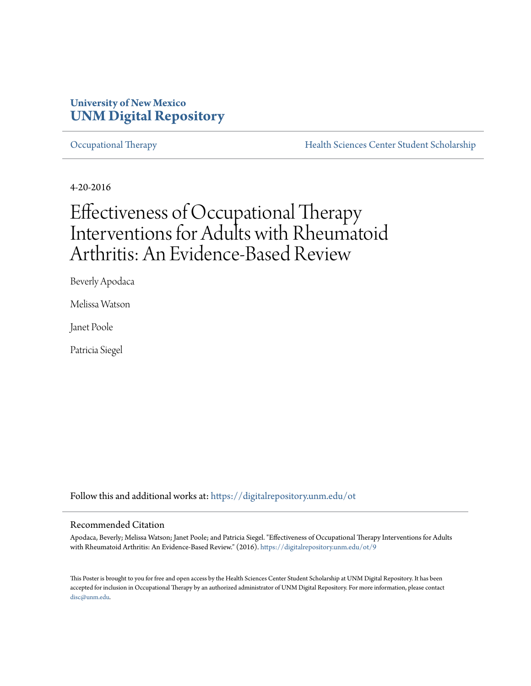#### **University of New Mexico [UNM Digital Repository](https://digitalrepository.unm.edu?utm_source=digitalrepository.unm.edu%2Fot%2F9&utm_medium=PDF&utm_campaign=PDFCoverPages)**

[Occupational Therapy](https://digitalrepository.unm.edu/ot?utm_source=digitalrepository.unm.edu%2Fot%2F9&utm_medium=PDF&utm_campaign=PDFCoverPages) **[Health Sciences Center Student Scholarship](https://digitalrepository.unm.edu/hsc-students?utm_source=digitalrepository.unm.edu%2Fot%2F9&utm_medium=PDF&utm_campaign=PDFCoverPages)** 

4-20-2016

#### Effectiveness of Occupational Therapy Interventions for Adults with Rheumatoid Arthritis: An Evidence-Based Review

Beverly Apodaca

Melissa Watson

Janet Poole

Patricia Siegel

Follow this and additional works at: [https://digitalrepository.unm.edu/ot](https://digitalrepository.unm.edu/ot?utm_source=digitalrepository.unm.edu%2Fot%2F9&utm_medium=PDF&utm_campaign=PDFCoverPages)

#### Recommended Citation

Apodaca, Beverly; Melissa Watson; Janet Poole; and Patricia Siegel. "Effectiveness of Occupational Therapy Interventions for Adults with Rheumatoid Arthritis: An Evidence-Based Review." (2016). [https://digitalrepository.unm.edu/ot/9](https://digitalrepository.unm.edu/ot/9?utm_source=digitalrepository.unm.edu%2Fot%2F9&utm_medium=PDF&utm_campaign=PDFCoverPages)

This Poster is brought to you for free and open access by the Health Sciences Center Student Scholarship at UNM Digital Repository. It has been accepted for inclusion in Occupational Therapy by an authorized administrator of UNM Digital Repository. For more information, please contact [disc@unm.edu](mailto:disc@unm.edu).